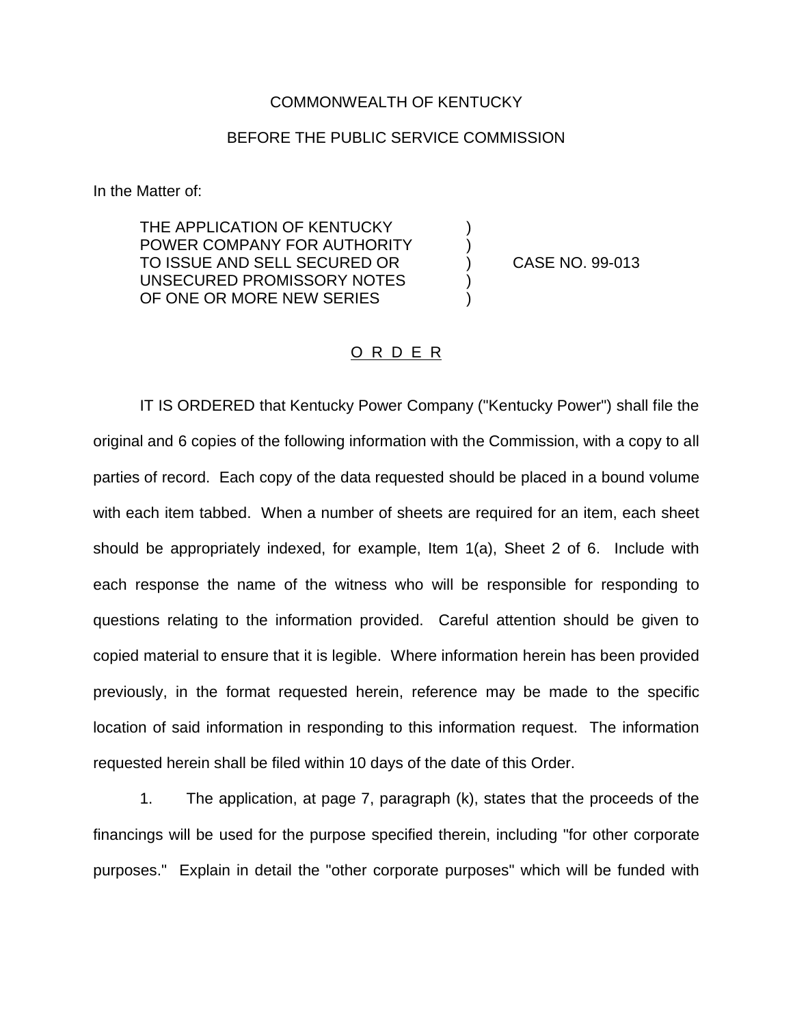## COMMONWEALTH OF KENTUCKY

## BEFORE THE PUBLIC SERVICE COMMISSION

In the Matter of:

THE APPLICATION OF KENTUCKY POWER COMPANY FOR AUTHORITY TO ISSUE AND SELL SECURED OR (CASE NO. 99-013) UNSECURED PROMISSORY NOTES OF ONE OR MORE NEW SERIES

## O R D E R

IT IS ORDERED that Kentucky Power Company ("Kentucky Power") shall file the original and 6 copies of the following information with the Commission, with a copy to all parties of record. Each copy of the data requested should be placed in a bound volume with each item tabbed. When a number of sheets are required for an item, each sheet should be appropriately indexed, for example, Item 1(a), Sheet 2 of 6. Include with each response the name of the witness who will be responsible for responding to questions relating to the information provided. Careful attention should be given to copied material to ensure that it is legible. Where information herein has been provided previously, in the format requested herein, reference may be made to the specific location of said information in responding to this information request. The information requested herein shall be filed within 10 days of the date of this Order.

1. The application, at page 7, paragraph (k), states that the proceeds of the financings will be used for the purpose specified therein, including "for other corporate purposes." Explain in detail the "other corporate purposes" which will be funded with